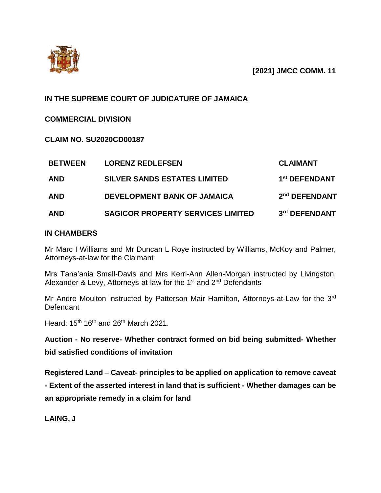

# **IN THE SUPREME COURT OF JUDICATURE OF JAMAICA**

## **COMMERCIAL DIVISION**

**CLAIM NO. SU2020CD00187**

| <b>BETWEEN</b> | <b>LORENZ REDLEFSEN</b>                  | <b>CLAIMANT</b>           |
|----------------|------------------------------------------|---------------------------|
| <b>AND</b>     | <b>SILVER SANDS ESTATES LIMITED</b>      | 1 <sup>st</sup> DEFENDANT |
| <b>AND</b>     | <b>DEVELOPMENT BANK OF JAMAICA</b>       | 2 <sup>nd</sup> DEFENDANT |
| <b>AND</b>     | <b>SAGICOR PROPERTY SERVICES LIMITED</b> | 3rd DEFENDANT             |

## **IN CHAMBERS**

Mr Marc I Williams and Mr Duncan L Roye instructed by Williams, McKoy and Palmer, Attorneys-at-law for the Claimant

Mrs Tana'ania Small-Davis and Mrs Kerri-Ann Allen-Morgan instructed by Livingston, Alexander & Levy, Attorneys-at-law for the 1<sup>st</sup> and 2<sup>nd</sup> Defendants

Mr Andre Moulton instructed by Patterson Mair Hamilton, Attorneys-at-Law for the 3<sup>rd</sup> Defendant

Heard: 15<sup>th</sup> 16<sup>th</sup> and 26<sup>th</sup> March 2021.

**Auction - No reserve- Whether contract formed on bid being submitted- Whether bid satisfied conditions of invitation**

**Registered Land – Caveat- principles to be applied on application to remove caveat** 

**- Extent of the asserted interest in land that is sufficient - Whether damages can be an appropriate remedy in a claim for land**

**LAING, J**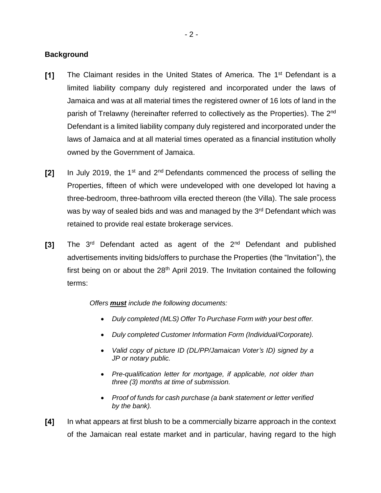## **Background**

- $[1]$ The Claimant resides in the United States of America. The 1st Defendant is a limited liability company duly registered and incorporated under the laws of Jamaica and was at all material times the registered owner of 16 lots of land in the parish of Trelawny (hereinafter referred to collectively as the Properties). The 2<sup>nd</sup> Defendant is a limited liability company duly registered and incorporated under the laws of Jamaica and at all material times operated as a financial institution wholly owned by the Government of Jamaica.
- In July 2019, the 1<sup>st</sup> and  $2<sup>nd</sup>$  Defendants commenced the process of selling the  $\mathsf{I2l}$ Properties, fifteen of which were undeveloped with one developed lot having a three-bedroom, three-bathroom villa erected thereon (the Villa). The sale process was by way of sealed bids and was and managed by the 3<sup>rd</sup> Defendant which was retained to provide real estate brokerage services.
- The 3<sup>rd</sup> Defendant acted as agent of the 2<sup>nd</sup> Defendant and published  $\mathsf{I}3\mathsf{I}$ advertisements inviting bids/offers to purchase the Properties (the "Invitation"), the first being on or about the  $28<sup>th</sup>$  April 2019. The Invitation contained the following terms:

*Offers must include the following documents:*

- *Duly completed (MLS) Offer To Purchase Form with your best offer.*
- *Duly completed Customer Information Form (Individual/Corporate).*
- *Valid copy of picture ID (DL/PP/Jamaican Voter's ID) signed by a JP or notary public.*
- *Pre-qualification letter for mortgage, if applicable, not older than three (3) months at time of submission.*
- *Proof of funds for cash purchase (a bank statement or letter verified by the bank).*
- $[4]$ In what appears at first blush to be a commercially bizarre approach in the context of the Jamaican real estate market and in particular, having regard to the high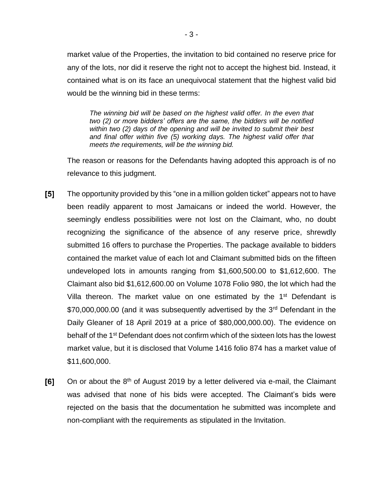market value of the Properties, the invitation to bid contained no reserve price for any of the lots, nor did it reserve the right not to accept the highest bid. Instead, it contained what is on its face an unequivocal statement that the highest valid bid would be the winning bid in these terms:

*The winning bid will be based on the highest valid offer. In the even that two (2) or more bidders' offers are the same, the bidders will be notified within two (2) days of the opening and will be invited to submit their best and final offer within five (5) working days. The highest valid offer that meets the requirements, will be the winning bid.*

The reason or reasons for the Defendants having adopted this approach is of no relevance to this judgment.

- $\mathsf{[}5\mathsf{]}$ The opportunity provided by this "one in a million golden ticket" appears not to have been readily apparent to most Jamaicans or indeed the world. However, the seemingly endless possibilities were not lost on the Claimant, who, no doubt recognizing the significance of the absence of any reserve price, shrewdly submitted 16 offers to purchase the Properties. The package available to bidders contained the market value of each lot and Claimant submitted bids on the fifteen undeveloped lots in amounts ranging from \$1,600,500.00 to \$1,612,600. The Claimant also bid \$1,612,600.00 on Volume 1078 Folio 980, the lot which had the Villa thereon. The market value on one estimated by the 1<sup>st</sup> Defendant is \$70,000,000.00 (and it was subsequently advertised by the 3<sup>rd</sup> Defendant in the Daily Gleaner of 18 April 2019 at a price of \$80,000,000.00). The evidence on behalf of the 1st Defendant does not confirm which of the sixteen lots has the lowest market value, but it is disclosed that Volume 1416 folio 874 has a market value of \$11,600,000.
- $[6]$ On or about the  $8<sup>th</sup>$  of August 2019 by a letter delivered via e-mail, the Claimant was advised that none of his bids were accepted. The Claimant's bids were rejected on the basis that the documentation he submitted was incomplete and non-compliant with the requirements as stipulated in the Invitation.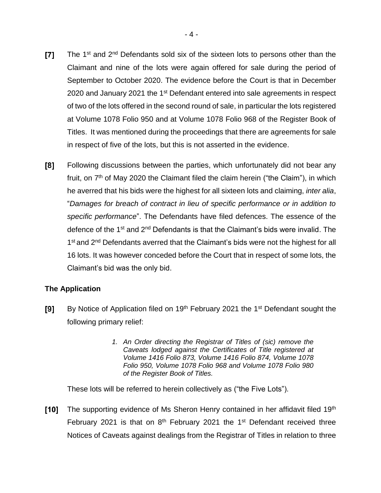- $\mathsf{T}7\mathsf{T}$ The 1<sup>st</sup> and 2<sup>nd</sup> Defendants sold six of the sixteen lots to persons other than the Claimant and nine of the lots were again offered for sale during the period of September to October 2020. The evidence before the Court is that in December 2020 and January 2021 the 1<sup>st</sup> Defendant entered into sale agreements in respect of two of the lots offered in the second round of sale, in particular the lots registered at Volume 1078 Folio 950 and at Volume 1078 Folio 968 of the Register Book of Titles. It was mentioned during the proceedings that there are agreements for sale in respect of five of the lots, but this is not asserted in the evidence.
- Following discussions between the parties, which unfortunately did not bear any [8] fruit, on  $7<sup>th</sup>$  of May 2020 the Claimant filed the claim herein ("the Claim"), in which he averred that his bids were the highest for all sixteen lots and claiming, *inter alia*, "*Damages for breach of contract in lieu of specific performance or in addition to specific performance*". The Defendants have filed defences. The essence of the defence of the  $1<sup>st</sup>$  and  $2<sup>nd</sup>$  Defendants is that the Claimant's bids were invalid. The 1<sup>st</sup> and 2<sup>nd</sup> Defendants averred that the Claimant's bids were not the highest for all 16 lots. It was however conceded before the Court that in respect of some lots, the Claimant's bid was the only bid.

## **The Application**

- [9] By Notice of Application filed on 19<sup>th</sup> February 2021 the 1<sup>st</sup> Defendant sought the following primary relief:
	- *1. An Order directing the Registrar of Titles of (sic) remove the Caveats lodged against the Certificates of Title registered at Volume 1416 Folio 873, Volume 1416 Folio 874, Volume 1078 Folio 950, Volume 1078 Folio 968 and Volume 1078 Folio 980 of the Register Book of Titles.*

These lots will be referred to herein collectively as ("the Five Lots").

 $[10]$ The supporting evidence of Ms Sheron Henry contained in her affidavit filed 19<sup>th</sup> February 2021 is that on  $8<sup>th</sup>$  February 2021 the 1<sup>st</sup> Defendant received three Notices of Caveats against dealings from the Registrar of Titles in relation to three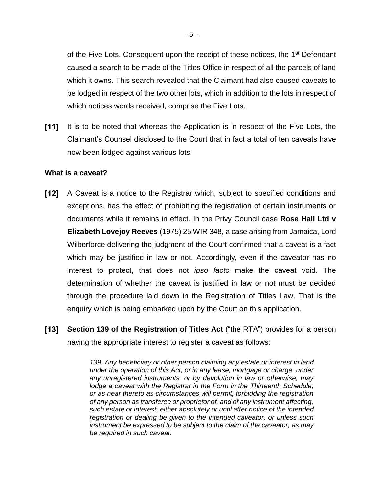of the Five Lots. Consequent upon the receipt of these notices, the 1<sup>st</sup> Defendant caused a search to be made of the Titles Office in respect of all the parcels of land which it owns. This search revealed that the Claimant had also caused caveats to be lodged in respect of the two other lots, which in addition to the lots in respect of which notices words received, comprise the Five Lots.

 $[11]$ It is to be noted that whereas the Application is in respect of the Five Lots, the Claimant's Counsel disclosed to the Court that in fact a total of ten caveats have now been lodged against various lots.

## **What is a caveat?**

- $[12]$ A Caveat is a notice to the Registrar which, subject to specified conditions and exceptions, has the effect of prohibiting the registration of certain instruments or documents while it remains in effect. In the Privy Council case **Rose Hall Ltd v Elizabeth Lovejoy Reeves** (1975) 25 WIR 348, a case arising from Jamaica, Lord Wilberforce delivering the judgment of the Court confirmed that a caveat is a fact which may be justified in law or not. Accordingly, even if the caveator has no interest to protect, that does not *ipso facto* make the caveat void. The determination of whether the caveat is justified in law or not must be decided through the procedure laid down in the Registration of Titles Law. That is the enquiry which is being embarked upon by the Court on this application.
- $[13]$ **Section 139 of the Registration of Titles Act** ("the RTA") provides for a person having the appropriate interest to register a caveat as follows:

*139. Any beneficiary or other person claiming any estate or interest in land under the operation of this Act, or in any lease, mortgage or charge, under any unregistered instruments, or by devolution in law or otherwise, may lodge a caveat with the Registrar in the Form in the Thirteenth Schedule, or as near thereto as circumstances will permit, forbidding the registration of any person as transferee or proprietor of, and of any instrument affecting, such estate or interest, either absolutely or until after notice of the intended registration or dealing be given to the intended caveator, or unless such instrument be expressed to be subject to the claim of the caveator, as may be required in such caveat.*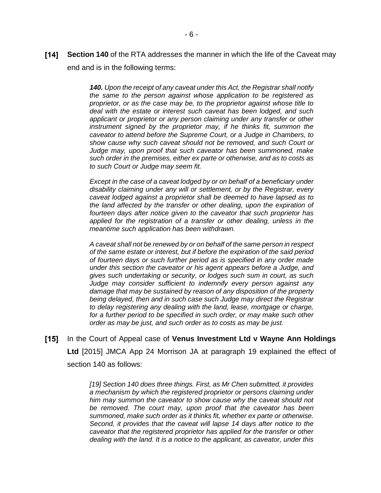**[14] Section 140** of the RTA addresses the manner in which the life of the Caveat may end and is in the following terms:

> *140. Upon the receipt of any caveat under this Act, the Registrar shall notify the same to the person against whose application to be registered as proprietor, or as the case may be, to the proprietor against whose title to deal with the estate or interest such caveat has been lodged, and such applicant or proprietor or any person claiming under any transfer or other instrument signed by the proprietor may, if he thinks fit, summon the caveator to attend before the Supreme Court, or a Judge in Chambers, to show cause why such caveat should not be removed, and such Court or Judge may, upon proof that such caveator has been summoned, make such order in the premises, either ex parte or otherwise, and as to costs as to such Court or Judge may seem fit.*

> *Except in the case of a caveat lodged by or on behalf of a beneficiary under disability claiming under any will or settlement, or by the Registrar, every caveat lodged against a proprietor shall be deemed to have lapsed as to the land affected by the transfer or other dealing, upon the expiration of fourteen days after notice given to the caveator that such proprietor has applied for the registration of a transfer or other dealing, unless in the meantime such application has been withdrawn.*

> *A caveat shall not be renewed by or on behalf of the same person in respect of the same estate or interest, but if before the expiration of the said period of fourteen days or such further period as is specified in any order made under this section the caveator or his agent appears before a Judge, and gives such undertaking or security, or lodges such sum in court, as such Judge may consider sufficient to indemnify every person against any damage that may be sustained by reason of any disposition of the property being delayed, then and in such case such Judge may direct the Registrar to delay registering any dealing with the land, lease, mortgage or charge,*  for a further period to be specified in such order, or may make such other *order as may be just, and such order as to costs as may be just.*

 $[15]$ In the Court of Appeal case of **Venus Investment Ltd v Wayne Ann Holdings Ltd** [2015] JMCA App 24 Morrison JA at paragraph 19 explained the effect of section 140 as follows:

> *[19] Section 140 does three things. First, as Mr Chen submitted, it provides a mechanism by which the registered proprietor or persons claiming under him may summon the caveator to show cause why the caveat should not be removed. The court may, upon proof that the caveator has been summoned, make such order as it thinks fit, whether ex parte or otherwise. Second, it provides that the caveat will lapse 14 days after notice to the caveator that the registered proprietor has applied for the transfer or other dealing with the land. It is a notice to the applicant, as caveator, under this*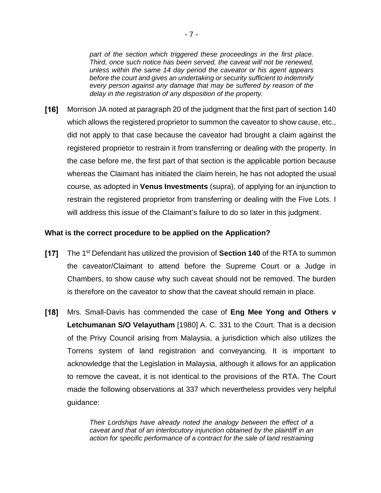*part of the section which triggered these proceedings in the first place. Third, once such notice has been served, the caveat will not be renewed, unless within the same 14 day period the caveator or his agent appears before the court and gives an undertaking or security sufficient to indemnify every person against any damage that may be suffered by reason of the delay in the registration of any disposition of the property.*

 $[16]$ Morrison JA noted at paragraph 20 of the judgment that the first part of section 140 which allows the registered proprietor to summon the caveator to show cause, etc., did not apply to that case because the caveator had brought a claim against the registered proprietor to restrain it from transferring or dealing with the property. In the case before me, the first part of that section is the applicable portion because whereas the Claimant has initiated the claim herein, he has not adopted the usual course, as adopted in **Venus Investments** (supra), of applying for an injunction to restrain the registered proprietor from transferring or dealing with the Five Lots. I will address this issue of the Claimant's failure to do so later in this judgment.

## **What is the correct procedure to be applied on the Application?**

- $[17]$ The 1<sup>st</sup> Defendant has utilized the provision of **Section 140** of the RTA to summon the caveator/Claimant to attend before the Supreme Court or a Judge in Chambers, to show cause why such caveat should not be removed. The burden is therefore on the caveator to show that the caveat should remain in place.
- $[18]$ Mrs. Small-Davis has commended the case of **Eng Mee Yong and Others v Letchumanan S/O Velayutham** [1980] A. C. 331 to the Court. That is a decision of the Privy Council arising from Malaysia, a jurisdiction which also utilizes the Torrens system of land registration and conveyancing. It is important to acknowledge that the Legislation in Malaysia, although it allows for an application to remove the caveat, it is not identical to the provisions of the RTA. The Court made the following observations at 337 which nevertheless provides very helpful guidance:

*Their Lordships have already noted the analogy between the effect of a caveat and that of an interlocutory injunction obtained by the plaintiff in an action for specific performance of a contract for the sale of land restraining*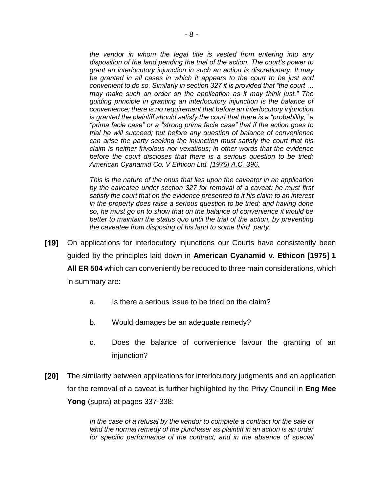*the vendor in whom the legal title is vested from entering into any disposition of the land pending the trial of the action. The court's power to grant an interlocutory injunction in such an action is discretionary. It may be granted in all cases in which it appears to the court to be just and convenient to do so. Similarly in section 327 it is provided that "the court … may make such an order on the application as it may think just." The guiding principle in granting an interlocutory injunction is the balance of convenience; there is no requirement that before an interlocutory injunction is granted the plaintiff should satisfy the court that there is a "probability," a "prima facie case" or a "strong prima facie case" that if the action goes to trial he will succeed; but before any question of balance of convenience can arise the party seeking the injunction must satisfy the court that his claim is neither frivolous nor vexatious; in other words that the evidence before the court discloses that there is a serious question to be tried: American Cyanamid Co. V Ethicon Ltd. [1975] A.C. 396.*

*This is the nature of the onus that lies upon the caveator in an application by the caveatee under section 327 for removal of a caveat: he must first satisfy the court that on the evidence presented to it his claim to an interest in the property does raise a serious question to be tried; and having done so, he must go on to show that on the balance of convenience it would be*  better to maintain the status quo until the trial of the action, by preventing *the caveatee from disposing of his land to some third party.*

- [19] On applications for interlocutory injunctions our Courts have consistently been guided by the principles laid down in **American Cyanamid v. Ethicon [1975] 1 All ER 504** which can conveniently be reduced to three main considerations, which in summary are:
	- a. Is there a serious issue to be tried on the claim?
	- b. Would damages be an adequate remedy?
	- c. Does the balance of convenience favour the granting of an injunction?
- [20] The similarity between applications for interlocutory judgments and an application for the removal of a caveat is further highlighted by the Privy Council in **Eng Mee Yong** (supra) at pages 337-338:

*In the case of a refusal by the vendor to complete a contract for the sale of land the normal remedy of the purchaser as plaintiff in an action is an order*  for specific performance of the contract; and in the absence of special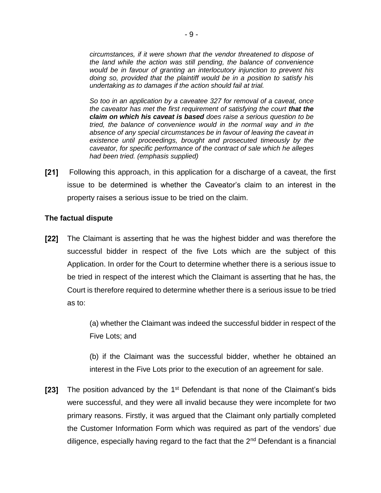*circumstances, if it were shown that the vendor threatened to dispose of the land while the action was still pending, the balance of convenience would be in favour of granting an interlocutory injunction to prevent his doing so, provided that the plaintiff would be in a position to satisfy his undertaking as to damages if the action should fail at trial.*

*So too in an application by a caveatee 327 for removal of a caveat, once the caveator has met the first requirement of satisfying the court that the claim on which his caveat is based does raise a serious question to be tried, the balance of convenience would in the normal way and in the absence of any special circumstances be in favour of leaving the caveat in existence until proceedings, brought and prosecuted timeously by the caveator, for specific performance of the contract of sale which he alleges had been tried. (emphasis supplied)*

 $[21]$ Following this approach, in this application for a discharge of a caveat, the first issue to be determined is whether the Caveator's claim to an interest in the property raises a serious issue to be tried on the claim.

## **The factual dispute**

 $[22]$ The Claimant is asserting that he was the highest bidder and was therefore the successful bidder in respect of the five Lots which are the subject of this Application. In order for the Court to determine whether there is a serious issue to be tried in respect of the interest which the Claimant is asserting that he has, the Court is therefore required to determine whether there is a serious issue to be tried as to:

> (a) whether the Claimant was indeed the successful bidder in respect of the Five Lots; and

> (b) if the Claimant was the successful bidder, whether he obtained an interest in the Five Lots prior to the execution of an agreement for sale.

 $[23]$ The position advanced by the 1<sup>st</sup> Defendant is that none of the Claimant's bids were successful, and they were all invalid because they were incomplete for two primary reasons. Firstly, it was argued that the Claimant only partially completed the Customer Information Form which was required as part of the vendors' due diligence, especially having regard to the fact that the  $2<sup>nd</sup>$  Defendant is a financial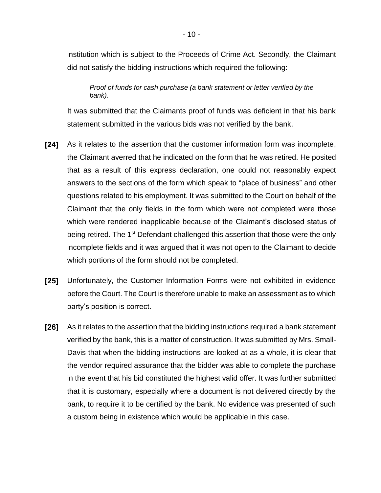institution which is subject to the Proceeds of Crime Act. Secondly, the Claimant did not satisfy the bidding instructions which required the following:

*Proof of funds for cash purchase (a bank statement or letter verified by the bank).*

It was submitted that the Claimants proof of funds was deficient in that his bank statement submitted in the various bids was not verified by the bank.

- $[24]$ As it relates to the assertion that the customer information form was incomplete, the Claimant averred that he indicated on the form that he was retired. He posited that as a result of this express declaration, one could not reasonably expect answers to the sections of the form which speak to "place of business" and other questions related to his employment. It was submitted to the Court on behalf of the Claimant that the only fields in the form which were not completed were those which were rendered inapplicable because of the Claimant's disclosed status of being retired. The 1<sup>st</sup> Defendant challenged this assertion that those were the only incomplete fields and it was argued that it was not open to the Claimant to decide which portions of the form should not be completed.
- $[25]$ Unfortunately, the Customer Information Forms were not exhibited in evidence before the Court. The Court is therefore unable to make an assessment as to which party's position is correct.
- [26] As it relates to the assertion that the bidding instructions required a bank statement verified by the bank, this is a matter of construction. It was submitted by Mrs. Small-Davis that when the bidding instructions are looked at as a whole, it is clear that the vendor required assurance that the bidder was able to complete the purchase in the event that his bid constituted the highest valid offer. It was further submitted that it is customary, especially where a document is not delivered directly by the bank, to require it to be certified by the bank. No evidence was presented of such a custom being in existence which would be applicable in this case.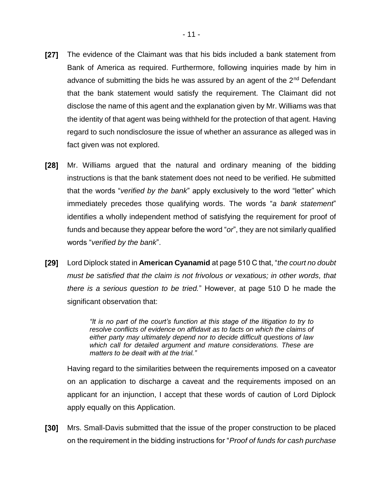- $[27]$ The evidence of the Claimant was that his bids included a bank statement from Bank of America as required. Furthermore, following inquiries made by him in advance of submitting the bids he was assured by an agent of the 2<sup>nd</sup> Defendant that the bank statement would satisfy the requirement. The Claimant did not disclose the name of this agent and the explanation given by Mr. Williams was that the identity of that agent was being withheld for the protection of that agent. Having regard to such nondisclosure the issue of whether an assurance as alleged was in fact given was not explored.
- $[28]$ Mr. Williams argued that the natural and ordinary meaning of the bidding instructions is that the bank statement does not need to be verified. He submitted that the words "*verified by the bank*" apply exclusively to the word "letter" which immediately precedes those qualifying words. The words "*a bank statement*" identifies a wholly independent method of satisfying the requirement for proof of funds and because they appear before the word "*or*", they are not similarly qualified words "*verified by the bank*".
- [29] Lord Diplock stated in **American Cyanamid** at page 510 C that, "*the court no doubt must be satisfied that the claim is not frivolous or vexatious; in other words, that there is a serious question to be tried.*" However, at page 510 D he made the significant observation that:

*"It is no part of the court's function at this stage of the litigation to try to resolve conflicts of evidence on affidavit as to facts on which the claims of either party may ultimately depend nor to decide difficult questions of law which call for detailed argument and mature considerations. These are matters to be dealt with at the trial."*

Having regard to the similarities between the requirements imposed on a caveator on an application to discharge a caveat and the requirements imposed on an applicant for an injunction, I accept that these words of caution of Lord Diplock apply equally on this Application.

 $[30]$ Mrs. Small-Davis submitted that the issue of the proper construction to be placed on the requirement in the bidding instructions for "*Proof of funds for cash purchase*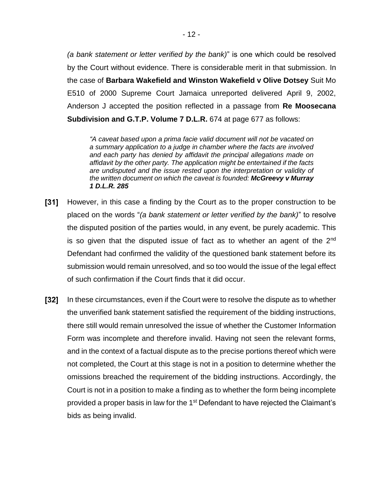*(a bank statement or letter verified by the bank)*" is one which could be resolved by the Court without evidence. There is considerable merit in that submission. In the case of **Barbara Wakefield and Winston Wakefield v Olive Dotsey** Suit Mo E510 of 2000 Supreme Court Jamaica unreported delivered April 9, 2002, Anderson J accepted the position reflected in a passage from **Re Moosecana Subdivision and G.T.P. Volume 7 D.L.R.** 674 at page 677 as follows:

*"A caveat based upon a prima facie valid document will not be vacated on a summary application to a judge in chamber where the facts are involved and each party has denied by affidavit the principal allegations made on affidavit by the other party. The application might be entertained if the facts are undisputed and the issue rested upon the interpretation or validity of the written document on which the caveat is founded: McGreevy v Murray 1 D.L.R. 285*

- $\sqrt{31}$ However, in this case a finding by the Court as to the proper construction to be placed on the words "*(a bank statement or letter verified by the bank)*" to resolve the disputed position of the parties would, in any event, be purely academic. This is so given that the disputed issue of fact as to whether an agent of the  $2<sup>nd</sup>$ Defendant had confirmed the validity of the questioned bank statement before its submission would remain unresolved, and so too would the issue of the legal effect of such confirmation if the Court finds that it did occur.
- $\mathsf{T}32\mathsf{T}$ In these circumstances, even if the Court were to resolve the dispute as to whether the unverified bank statement satisfied the requirement of the bidding instructions, there still would remain unresolved the issue of whether the Customer Information Form was incomplete and therefore invalid. Having not seen the relevant forms, and in the context of a factual dispute as to the precise portions thereof which were not completed, the Court at this stage is not in a position to determine whether the omissions breached the requirement of the bidding instructions. Accordingly, the Court is not in a position to make a finding as to whether the form being incomplete provided a proper basis in law for the 1<sup>st</sup> Defendant to have rejected the Claimant's bids as being invalid.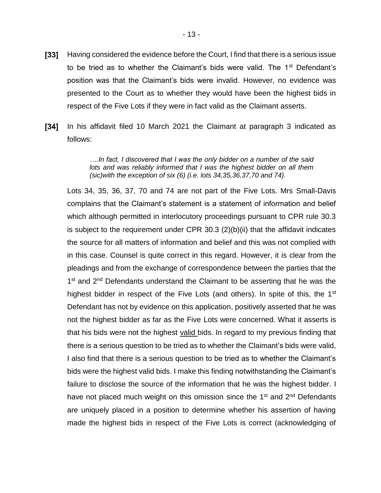- $\mathsf{T}33\mathsf{T}$ Having considered the evidence before the Court, I find that there is a serious issue to be tried as to whether the Claimant's bids were valid. The  $1<sup>st</sup>$  Defendant's position was that the Claimant's bids were invalid. However, no evidence was presented to the Court as to whether they would have been the highest bids in respect of the Five Lots if they were in fact valid as the Claimant asserts.
- $[34]$ In his affidavit filed 10 March 2021 the Claimant at paragraph 3 indicated as follows:

*….In fact, I discovered that I was the only bidder on a number of the said lots and was reliably informed that I was the highest bidder on all them (sic)with the exception of six (6) (i.e. lots 34,35,36,37,70 and 74).*

Lots 34, 35, 36, 37, 70 and 74 are not part of the Five Lots. Mrs Small-Davis complains that the Claimant's statement is a statement of information and belief which although permitted in interlocutory proceedings pursuant to CPR rule 30.3 is subject to the requirement under CPR 30.3 (2)(b)(ii) that the affidavit indicates the source for all matters of information and belief and this was not complied with in this case. Counsel is quite correct in this regard. However, it is clear from the pleadings and from the exchange of correspondence between the parties that the 1<sup>st</sup> and 2<sup>nd</sup> Defendants understand the Claimant to be asserting that he was the highest bidder in respect of the Five Lots (and others). In spite of this, the 1<sup>st</sup> Defendant has not by evidence on this application, positively asserted that he was not the highest bidder as far as the Five Lots were concerned. What it asserts is that his bids were not the highest valid bids. In regard to my previous finding that there is a serious question to be tried as to whether the Claimant's bids were valid, I also find that there is a serious question to be tried as to whether the Claimant's bids were the highest valid bids. I make this finding notwithstanding the Claimant's failure to disclose the source of the information that he was the highest bidder. I have not placed much weight on this omission since the  $1<sup>st</sup>$  and  $2<sup>nd</sup>$  Defendants are uniquely placed in a position to determine whether his assertion of having made the highest bids in respect of the Five Lots is correct (acknowledging of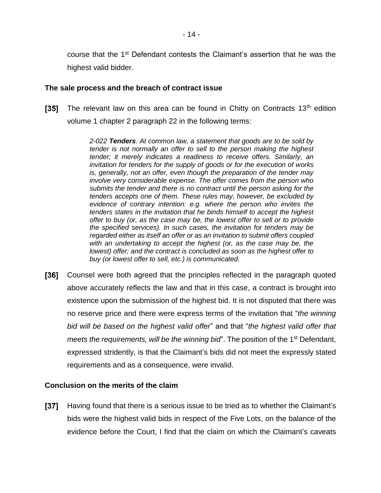course that the 1<sup>st</sup> Defendant contests the Claimant's assertion that he was the highest valid bidder.

## **The sale process and the breach of contract issue**

 $[35]$ The relevant law on this area can be found in Chitty on Contracts  $13<sup>th</sup>$  edition volume 1 chapter 2 paragraph 22 in the following terms:

> *2-022 Tenders. At common law, a statement that goods are to be sold by tender is not normally an offer to sell to the person making the highest tender; it merely indicates a readiness to receive offers. Similarly, an invitation for tenders for the supply of goods or for the execution of works is, generally, not an offer, even though the preparation of the tender may involve very considerable expense. The offer comes from the person who submits the tender and there is no contract until the person asking for the tenders accepts one of them. These rules may, however, be excluded by evidence of contrary intention: e.g. where the person who invites the tenders states in the invitation that he binds himself to accept the highest offer to buy (or, as the case may be, the lowest offer to sell or to provide the specified services). In such cases, the invitation for tenders may be regarded either as itself an offer or as an invitation to submit offers coupled with an undertaking to accept the highest (or, as the case may be, the lowest) offer; and the contract is concluded as soon as the highest offer to buy (or lowest offer to sell, etc.) is communicated.*

[36] Counsel were both agreed that the principles reflected in the paragraph quoted above accurately reflects the law and that in this case, a contract is brought into existence upon the submission of the highest bid. It is not disputed that there was no reserve price and there were express terms of the invitation that "*the winning bid will be based on the highest valid offer*" and that "*the highest valid offer that meets the requirements, will be the winning bid*". The position of the 1<sup>st</sup> Defendant, expressed stridently, is that the Claimant's bids did not meet the expressly stated requirements and as a consequence, were invalid.

## **Conclusion on the merits of the claim**

[37] Having found that there is a serious issue to be tried as to whether the Claimant's bids were the highest valid bids in respect of the Five Lots, on the balance of the evidence before the Court, I find that the claim on which the Claimant's caveats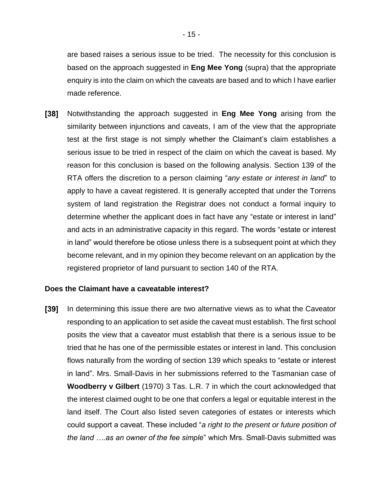are based raises a serious issue to be tried. The necessity for this conclusion is based on the approach suggested in **Eng Mee Yong** (supra) that the appropriate enquiry is into the claim on which the caveats are based and to which I have earlier made reference.

 $[38]$ Notwithstanding the approach suggested in **Eng Mee Yong** arising from the similarity between injunctions and caveats, I am of the view that the appropriate test at the first stage is not simply whether the Claimant's claim establishes a serious issue to be tried in respect of the claim on which the caveat is based. My reason for this conclusion is based on the following analysis. Section 139 of the RTA offers the discretion to a person claiming "*any estate or interest in land*" to apply to have a caveat registered. It is generally accepted that under the Torrens system of land registration the Registrar does not conduct a formal inquiry to determine whether the applicant does in fact have any "estate or interest in land" and acts in an administrative capacity in this regard. The words "estate or interest in land" would therefore be otiose unless there is a subsequent point at which they become relevant, and in my opinion they become relevant on an application by the registered proprietor of land pursuant to section 140 of the RTA.

#### **Does the Claimant have a caveatable interest?**

 $[39]$ In determining this issue there are two alternative views as to what the Caveator responding to an application to set aside the caveat must establish. The first school posits the view that a caveator must establish that there is a serious issue to be tried that he has one of the permissible estates or interest in land. This conclusion flows naturally from the wording of section 139 which speaks to "estate or interest in land". Mrs. Small-Davis in her submissions referred to the Tasmanian case of **Woodberry v Gilbert** (1970) 3 Tas. L.R. 7 in which the court acknowledged that the interest claimed ought to be one that confers a legal or equitable interest in the land itself. The Court also listed seven categories of estates or interests which could support a caveat. These included "*a right to the present or future position of the land ….as an owner of the fee simple*" which Mrs. Small-Davis submitted was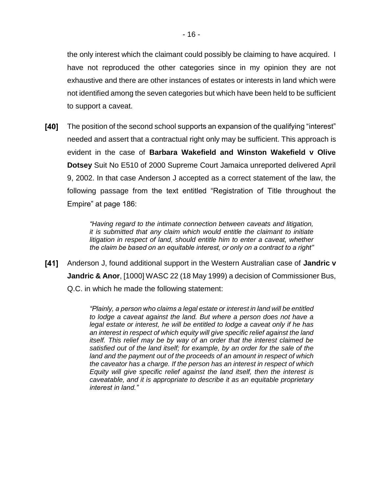the only interest which the claimant could possibly be claiming to have acquired. I have not reproduced the other categories since in my opinion they are not exhaustive and there are other instances of estates or interests in land which were not identified among the seven categories but which have been held to be sufficient to support a caveat.

 $[40]$ The position of the second school supports an expansion of the qualifying "interest" needed and assert that a contractual right only may be sufficient. This approach is evident in the case of **Barbara Wakefield and Winston Wakefield v Olive Dotsey** Suit No E510 of 2000 Supreme Court Jamaica unreported delivered April 9, 2002. In that case Anderson J accepted as a correct statement of the law, the following passage from the text entitled "Registration of Title throughout the Empire" at page 186:

> *"Having regard to the intimate connection between caveats and litigation, it is submitted that any claim which would entitle the claimant to initiate litigation in respect of land, should entitle him to enter a caveat, whether the claim be based on an equitable interest, or only on a contract to a right"*

Anderson J, found additional support in the Western Australian case of **Jandric v Jandric & Anor**, [1000] WASC 22 (18 May 1999) a decision of Commissioner Bus, Q.C. in which he made the following statement:

> *"Plainly, a person who claims a legal estate or interest in land will be entitled to lodge a caveat against the land. But where a person does not have a legal estate or interest, he will be entitled to lodge a caveat only if he has an interest in respect of which equity will give specific relief against the land itself. This relief may be by way of an order that the interest claimed be satisfied out of the land itself; for example, by an order for the sale of the land and the payment out of the proceeds of an amount in respect of which the caveator has a charge. If the person has an interest in respect of which Equity will give specific relief against the land itself, then the interest is caveatable, and it is appropriate to describe it as an equitable proprietary interest in land."*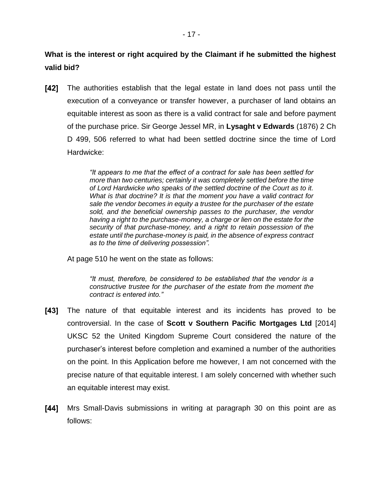**What is the interest or right acquired by the Claimant if he submitted the highest valid bid?**

[42] The authorities establish that the legal estate in land does not pass until the execution of a conveyance or transfer however, a purchaser of land obtains an equitable interest as soon as there is a valid contract for sale and before payment of the purchase price. Sir George Jessel MR, in **Lysaght v Edwards** (1876) 2 Ch D 499, 506 referred to what had been settled doctrine since the time of Lord Hardwicke:

> *"It appears to me that the effect of a contract for sale has been settled for more than two centuries; certainly it was completely settled before the time of Lord Hardwicke who speaks of the settled doctrine of the Court as to it. What is that doctrine? It is that the moment you have a valid contract for sale the vendor becomes in equity a trustee for the purchaser of the estate sold, and the beneficial ownership passes to the purchaser, the vendor having a right to the purchase-money, a charge or lien on the estate for the security of that purchase-money, and a right to retain possession of the estate until the purchase-money is paid, in the absence of express contract as to the time of delivering possession".*

At page 510 he went on the state as follows:

*"It must, therefore, be considered to be established that the vendor is a constructive trustee for the purchaser of the estate from the moment the contract is entered into."*

- [43] The nature of that equitable interest and its incidents has proved to be controversial. In the case of **Scott v Southern Pacific Mortgages Ltd** [2014] UKSC 52 the United Kingdom Supreme Court considered the nature of the purchaser's interest before completion and examined a number of the authorities on the point. In this Application before me however, I am not concerned with the precise nature of that equitable interest. I am solely concerned with whether such an equitable interest may exist.
- $[44]$ Mrs Small-Davis submissions in writing at paragraph 30 on this point are as follows: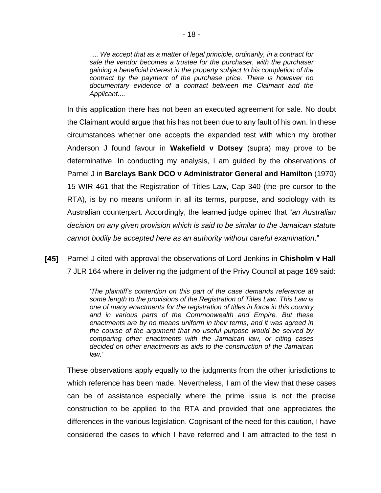*…. We accept that as a matter of legal principle, ordinarily, in a contract for sale the vendor becomes a trustee for the purchaser, with the purchaser gaining a beneficial interest in the property subject to his completion of the contract by the payment of the purchase price. There is however no documentary evidence of a contract between the Claimant and the Applicant....*

In this application there has not been an executed agreement for sale. No doubt the Claimant would argue that his has not been due to any fault of his own. In these circumstances whether one accepts the expanded test with which my brother Anderson J found favour in **Wakefield v Dotsey** (supra) may prove to be determinative. In conducting my analysis, I am guided by the observations of Parnel J in **Barclays Bank DCO v Administrator General and Hamilton** (1970) 15 WIR 461 that the Registration of Titles Law, Cap 340 (the pre-cursor to the RTA), is by no means uniform in all its terms, purpose, and sociology with its Australian counterpart. Accordingly, the learned judge opined that "*an Australian decision on any given provision which is said to be similar to the Jamaican statute cannot bodily be accepted here as an authority without careful examination*."

[45] Parnel J cited with approval the observations of Lord Jenkins in **Chisholm v Hall** 7 JLR 164 where in delivering the judgment of the Privy Council at page 169 said:

> *'The plaintiff's contention on this part of the case demands reference at some length to the provisions of the Registration of Titles Law. This Law is one of many enactments for the registration of titles in force in this country and in various parts of the Commonwealth and Empire. But these enactments are by no means uniform in their terms, and it was agreed in the course of the argument that no useful purpose would be served by comparing other enactments with the Jamaican law, or citing cases decided on other enactments as aids to the construction of the Jamaican law.'*

These observations apply equally to the judgments from the other jurisdictions to which reference has been made. Nevertheless, I am of the view that these cases can be of assistance especially where the prime issue is not the precise construction to be applied to the RTA and provided that one appreciates the differences in the various legislation. Cognisant of the need for this caution, I have considered the cases to which I have referred and I am attracted to the test in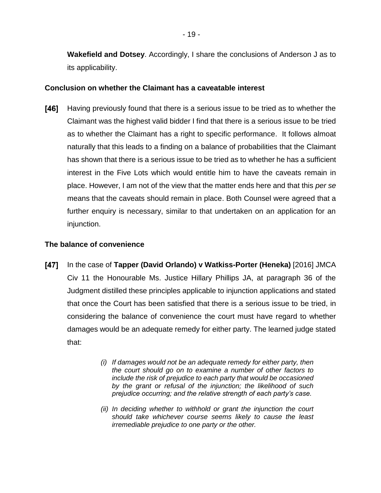**Wakefield and Dotsey**. Accordingly, I share the conclusions of Anderson J as to its applicability.

## **Conclusion on whether the Claimant has a caveatable interest**

[46] Having previously found that there is a serious issue to be tried as to whether the Claimant was the highest valid bidder I find that there is a serious issue to be tried as to whether the Claimant has a right to specific performance. It follows almoat naturally that this leads to a finding on a balance of probabilities that the Claimant has shown that there is a serious issue to be tried as to whether he has a sufficient interest in the Five Lots which would entitle him to have the caveats remain in place. However, I am not of the view that the matter ends here and that this *per se* means that the caveats should remain in place. Both Counsel were agreed that a further enquiry is necessary, similar to that undertaken on an application for an injunction.

## **The balance of convenience**

- [47] In the case of **Tapper (David Orlando) v Watkiss-Porter (Heneka)** [2016] JMCA Civ 11 the Honourable Ms. Justice Hillary Phillips JA, at paragraph 36 of the Judgment distilled these principles applicable to injunction applications and stated that once the Court has been satisfied that there is a serious issue to be tried, in considering the balance of convenience the court must have regard to whether damages would be an adequate remedy for either party. The learned judge stated that:
	- *(i) If damages would not be an adequate remedy for either party, then the court should go on to examine a number of other factors to include the risk of prejudice to each party that would be occasioned by the grant or refusal of the injunction; the likelihood of such prejudice occurring; and the relative strength of each party's case.*
	- *(ii) In deciding whether to withhold or grant the injunction the court should take whichever course seems likely to cause the least irremediable prejudice to one party or the other.*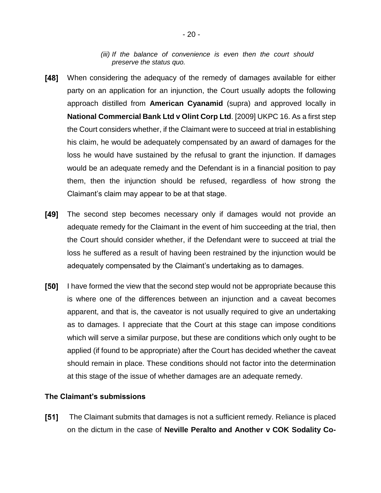*(iii) If the balance of convenience is even then the court should preserve the status quo.*

- [48] When considering the adequacy of the remedy of damages available for either party on an application for an injunction, the Court usually adopts the following approach distilled from **American Cyanamid** (supra) and approved locally in **National Commercial Bank Ltd v Olint Corp Ltd**. [2009] UKPC 16. As a first step the Court considers whether, if the Claimant were to succeed at trial in establishing his claim, he would be adequately compensated by an award of damages for the loss he would have sustained by the refusal to grant the injunction. If damages would be an adequate remedy and the Defendant is in a financial position to pay them, then the injunction should be refused, regardless of how strong the Claimant's claim may appear to be at that stage.
- [49] The second step becomes necessary only if damages would not provide an adequate remedy for the Claimant in the event of him succeeding at the trial, then the Court should consider whether, if the Defendant were to succeed at trial the loss he suffered as a result of having been restrained by the injunction would be adequately compensated by the Claimant's undertaking as to damages.
- $[50]$ I have formed the view that the second step would not be appropriate because this is where one of the differences between an injunction and a caveat becomes apparent, and that is, the caveator is not usually required to give an undertaking as to damages. I appreciate that the Court at this stage can impose conditions which will serve a similar purpose, but these are conditions which only ought to be applied (if found to be appropriate) after the Court has decided whether the caveat should remain in place. These conditions should not factor into the determination at this stage of the issue of whether damages are an adequate remedy.

## **The Claimant's submissions**

 $[51]$ The Claimant submits that damages is not a sufficient remedy. Reliance is placed on the dictum in the case of **Neville Peralto and Another v COK Sodality Co-**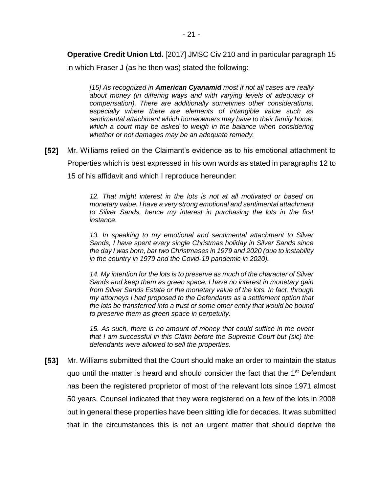**Operative Credit Union Ltd.** [2017] JMSC Civ 210 and in particular paragraph 15

in which Fraser J (as he then was) stated the following:

*[15] As recognized in American Cyanamid most if not all cases are really about money (in differing ways and with varying levels of adequacy of compensation). There are additionally sometimes other considerations, especially where there are elements of intangible value such as sentimental attachment which homeowners may have to their family home, which a court may be asked to weigh in the balance when considering whether or not damages may be an adequate remedy.*

 $[52]$ Mr. Williams relied on the Claimant's evidence as to his emotional attachment to Properties which is best expressed in his own words as stated in paragraphs 12 to 15 of his affidavit and which I reproduce hereunder:

> *12. That might interest in the lots is not at all motivated or based on monetary value. I have a very strong emotional and sentimental attachment to Silver Sands, hence my interest in purchasing the lots in the first instance.*

> *13. In speaking to my emotional and sentimental attachment to Silver Sands, I have spent every single Christmas holiday in Silver Sands since the day I was born, bar two Christmases in 1979 and 2020 (due to instability in the country in 1979 and the Covid-19 pandemic in 2020).*

> *14. My intention for the lots is to preserve as much of the character of Silver Sands and keep them as green space. I have no interest in monetary gain from Silver Sands Estate or the monetary value of the lots. In fact, through my attorneys I had proposed to the Defendants as a settlement option that the lots be transferred into a trust or some other entity that would be bound to preserve them as green space in perpetuity.*

> *15. As such, there is no amount of money that could suffice in the event that I am successful in this Claim before the Supreme Court but (sic) the defendants were allowed to sell the properties.*

[53] Mr. Williams submitted that the Court should make an order to maintain the status quo until the matter is heard and should consider the fact that the  $1<sup>st</sup>$  Defendant has been the registered proprietor of most of the relevant lots since 1971 almost 50 years. Counsel indicated that they were registered on a few of the lots in 2008 but in general these properties have been sitting idle for decades. It was submitted that in the circumstances this is not an urgent matter that should deprive the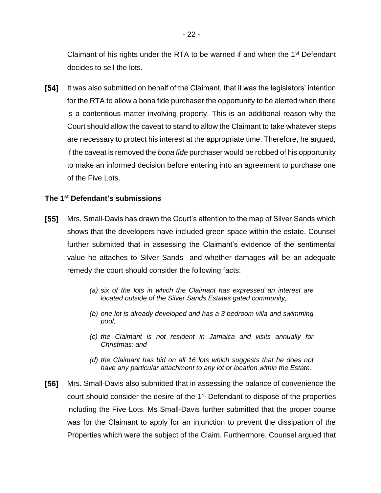Claimant of his rights under the RTA to be warned if and when the  $1<sup>st</sup>$  Defendant decides to sell the lots.

[54] It was also submitted on behalf of the Claimant, that it was the legislators' intention for the RTA to allow a bona fide purchaser the opportunity to be alerted when there is a contentious matter involving property. This is an additional reason why the Court should allow the caveat to stand to allow the Claimant to take whatever steps are necessary to protect his interest at the appropriate time. Therefore, he argued, if the caveat is removed the *bona fide* purchaser would be robbed of his opportunity to make an informed decision before entering into an agreement to purchase one of the Five Lots.

## **The 1st Defendant's submissions**

- $[55]$ Mrs. Small-Davis has drawn the Court's attention to the map of Silver Sands which shows that the developers have included green space within the estate. Counsel further submitted that in assessing the Claimant's evidence of the sentimental value he attaches to Silver Sands and whether damages will be an adequate remedy the court should consider the following facts:
	- *(a) six of the lots in which the Claimant has expressed an interest are located outside of the Silver Sands Estates gated community;*
	- *(b) one lot is already developed and has a 3 bedroom villa and swimming pool;*
	- *(c) the Claimant is not resident in Jamaica and visits annually for Christmas; and*
	- *(d) the Claimant has bid on all 16 lots which suggests that he does not have any particular attachment to any lot or location within the Estate.*
- [56] Mrs. Small-Davis also submitted that in assessing the balance of convenience the court should consider the desire of the 1<sup>st</sup> Defendant to dispose of the properties including the Five Lots. Ms Small-Davis further submitted that the proper course was for the Claimant to apply for an injunction to prevent the dissipation of the Properties which were the subject of the Claim. Furthermore, Counsel argued that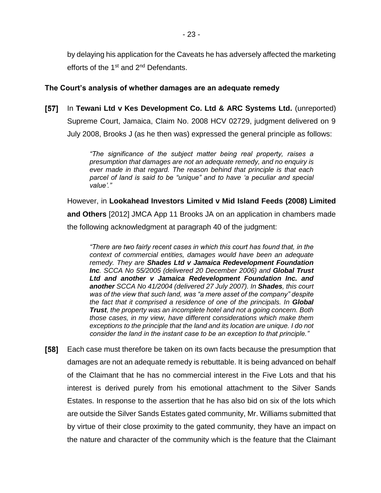by delaying his application for the Caveats he has adversely affected the marketing efforts of the 1<sup>st</sup> and 2<sup>nd</sup> Defendants.

## **The Court's analysis of whether damages are an adequate remedy**

[57] In **Tewani Ltd v Kes Development Co. Ltd & ARC Systems Ltd.** (unreported) Supreme Court, Jamaica, Claim No. 2008 HCV 02729, judgment delivered on 9 July 2008, Brooks J (as he then was) expressed the general principle as follows:

> *"The significance of the subject matter being real property, raises a presumption that damages are not an adequate remedy, and no enquiry is ever made in that regard. The reason behind that principle is that each parcel of land is said to be "unique" and to have 'a peculiar and special value'."*

However, in **Lookahead Investors Limited v Mid Island Feeds (2008) Limited and Others** [2012] JMCA App 11 Brooks JA on an application in chambers made the following acknowledgment at paragraph 40 of the judgment:

*"There are two fairly recent cases in which this court has found that, in the context of commercial entities, damages would have been an adequate remedy. They are Shades Ltd v Jamaica Redevelopment Foundation Inc. SCCA No 55/2005 (delivered 20 December 2006) and Global Trust Ltd and another v Jamaica Redevelopment Foundation Inc. and another SCCA No 41/2004 (delivered 27 July 2007). In Shades, this court was of the view that such land, was "a mere asset of the company" despite the fact that it comprised a residence of one of the principals. In Global Trust, the property was an incomplete hotel and not a going concern. Both those cases, in my view, have different considerations which make them exceptions to the principle that the land and its location are unique. I do not consider the land in the instant case to be an exception to that principle."*

[58] Each case must therefore be taken on its own facts because the presumption that damages are not an adequate remedy is rebuttable. It is being advanced on behalf of the Claimant that he has no commercial interest in the Five Lots and that his interest is derived purely from his emotional attachment to the Silver Sands Estates. In response to the assertion that he has also bid on six of the lots which are outside the Silver Sands Estates gated community, Mr. Williams submitted that by virtue of their close proximity to the gated community, they have an impact on the nature and character of the community which is the feature that the Claimant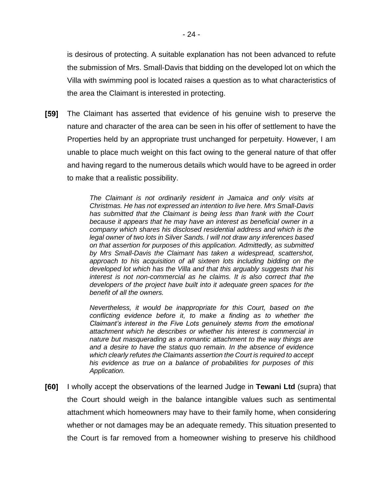is desirous of protecting. A suitable explanation has not been advanced to refute the submission of Mrs. Small-Davis that bidding on the developed lot on which the Villa with swimming pool is located raises a question as to what characteristics of the area the Claimant is interested in protecting.

 $[59]$ The Claimant has asserted that evidence of his genuine wish to preserve the nature and character of the area can be seen in his offer of settlement to have the Properties held by an appropriate trust unchanged for perpetuity. However, I am unable to place much weight on this fact owing to the general nature of that offer and having regard to the numerous details which would have to be agreed in order to make that a realistic possibility.

> *The Claimant is not ordinarily resident in Jamaica and only visits at Christmas. He has not expressed an intention to live here. Mrs Small-Davis has submitted that the Claimant is being less than frank with the Court because it appears that he may have an interest as beneficial owner in a company which shares his disclosed residential address and which is the legal owner of two lots in Silver Sands. I will not draw any inferences based on that assertion for purposes of this application. Admittedly, as submitted by Mrs Small-Davis the Claimant has taken a widespread, scattershot, approach to his acquisition of all sixteen lots including bidding on the developed lot which has the Villa and that this arguably suggests that his interest is not non-commercial as he claims. It is also correct that the developers of the project have built into it adequate green spaces for the benefit of all the owners.*

> *Nevertheless, it would be inappropriate for this Court, based on the conflicting evidence before it, to make a finding as to whether the Claimant's interest in the Five Lots genuinely stems from the emotional attachment which he describes or whether his interest is commercial in nature but masquerading as a romantic attachment to the way things are and a desire to have the status quo remain. In the absence of evidence which clearly refutes the Claimants assertion the Court is required to accept his evidence as true on a balance of probabilities for purposes of this Application.*

[60] I wholly accept the observations of the learned Judge in **Tewani Ltd** (supra) that the Court should weigh in the balance intangible values such as sentimental attachment which homeowners may have to their family home, when considering whether or not damages may be an adequate remedy. This situation presented to the Court is far removed from a homeowner wishing to preserve his childhood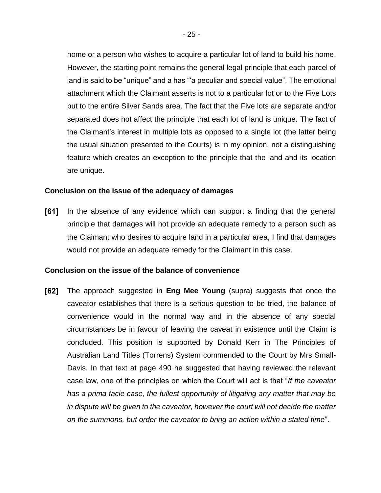home or a person who wishes to acquire a particular lot of land to build his home. However, the starting point remains the general legal principle that each parcel of land is said to be "unique" and a has "'a peculiar and special value". The emotional attachment which the Claimant asserts is not to a particular lot or to the Five Lots but to the entire Silver Sands area. The fact that the Five lots are separate and/or separated does not affect the principle that each lot of land is unique. The fact of the Claimant's interest in multiple lots as opposed to a single lot (the latter being the usual situation presented to the Courts) is in my opinion, not a distinguishing feature which creates an exception to the principle that the land and its location are unique.

#### **Conclusion on the issue of the adequacy of damages**

 $[61]$ In the absence of any evidence which can support a finding that the general principle that damages will not provide an adequate remedy to a person such as the Claimant who desires to acquire land in a particular area, I find that damages would not provide an adequate remedy for the Claimant in this case.

#### **Conclusion on the issue of the balance of convenience**

 $[62]$ The approach suggested in **Eng Mee Young** (supra) suggests that once the caveator establishes that there is a serious question to be tried, the balance of convenience would in the normal way and in the absence of any special circumstances be in favour of leaving the caveat in existence until the Claim is concluded. This position is supported by Donald Kerr in The Principles of Australian Land Titles (Torrens) System commended to the Court by Mrs Small-Davis. In that text at page 490 he suggested that having reviewed the relevant case law, one of the principles on which the Court will act is that "*If the caveator has a prima facie case, the fullest opportunity of litigating any matter that may be in dispute will be given to the caveator, however the court will not decide the matter on the summons, but order the caveator to bring an action within a stated time*".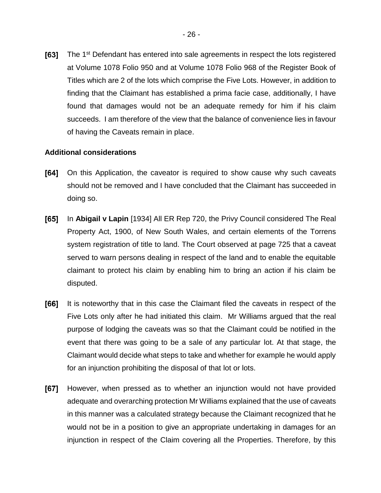[63] The 1<sup>st</sup> Defendant has entered into sale agreements in respect the lots registered at Volume 1078 Folio 950 and at Volume 1078 Folio 968 of the Register Book of Titles which are 2 of the lots which comprise the Five Lots. However, in addition to finding that the Claimant has established a prima facie case, additionally, I have found that damages would not be an adequate remedy for him if his claim succeeds. I am therefore of the view that the balance of convenience lies in favour of having the Caveats remain in place.

## **Additional considerations**

- [64] On this Application, the caveator is required to show cause why such caveats should not be removed and I have concluded that the Claimant has succeeded in doing so.
- $[65]$ In **Abigail v Lapin** [1934] All ER Rep 720, the Privy Council considered The Real Property Act, 1900, of New South Wales, and certain elements of the Torrens system registration of title to land. The Court observed at page 725 that a caveat served to warn persons dealing in respect of the land and to enable the equitable claimant to protect his claim by enabling him to bring an action if his claim be disputed.
- [66] It is noteworthy that in this case the Claimant filed the caveats in respect of the Five Lots only after he had initiated this claim. Mr Williams argued that the real purpose of lodging the caveats was so that the Claimant could be notified in the event that there was going to be a sale of any particular lot. At that stage, the Claimant would decide what steps to take and whether for example he would apply for an injunction prohibiting the disposal of that lot or lots.
- $[67]$ However, when pressed as to whether an injunction would not have provided adequate and overarching protection Mr Williams explained that the use of caveats in this manner was a calculated strategy because the Claimant recognized that he would not be in a position to give an appropriate undertaking in damages for an injunction in respect of the Claim covering all the Properties. Therefore, by this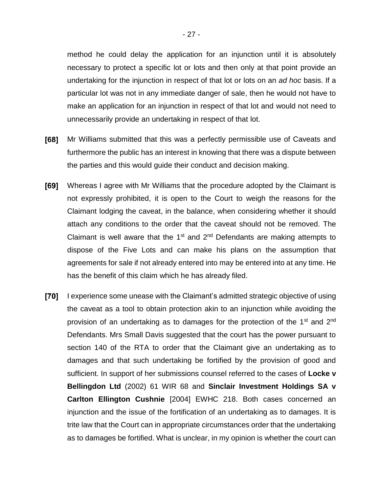method he could delay the application for an injunction until it is absolutely necessary to protect a specific lot or lots and then only at that point provide an undertaking for the injunction in respect of that lot or lots on an *ad hoc* basis. If a particular lot was not in any immediate danger of sale, then he would not have to make an application for an injunction in respect of that lot and would not need to unnecessarily provide an undertaking in respect of that lot.

- $[68]$ Mr Williams submitted that this was a perfectly permissible use of Caveats and furthermore the public has an interest in knowing that there was a dispute between the parties and this would guide their conduct and decision making.
- [69] Whereas I agree with Mr Williams that the procedure adopted by the Claimant is not expressly prohibited, it is open to the Court to weigh the reasons for the Claimant lodging the caveat, in the balance, when considering whether it should attach any conditions to the order that the caveat should not be removed. The Claimant is well aware that the  $1<sup>st</sup>$  and  $2<sup>nd</sup>$  Defendants are making attempts to dispose of the Five Lots and can make his plans on the assumption that agreements for sale if not already entered into may be entered into at any time. He has the benefit of this claim which he has already filed.
- [70] I experience some unease with the Claimant's admitted strategic objective of using the caveat as a tool to obtain protection akin to an injunction while avoiding the provision of an undertaking as to damages for the protection of the  $1<sup>st</sup>$  and  $2<sup>nd</sup>$ Defendants. Mrs Small Davis suggested that the court has the power pursuant to section 140 of the RTA to order that the Claimant give an undertaking as to damages and that such undertaking be fortified by the provision of good and sufficient. In support of her submissions counsel referred to the cases of **Locke v Bellingdon Ltd** (2002) 61 WIR 68 and **Sinclair Investment Holdings SA v Carlton Ellington Cushnie** [2004] EWHC 218. Both cases concerned an injunction and the issue of the fortification of an undertaking as to damages. It is trite law that the Court can in appropriate circumstances order that the undertaking as to damages be fortified. What is unclear, in my opinion is whether the court can